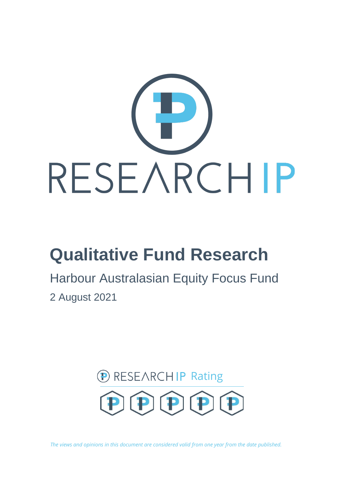

# **Qualitative Fund Research**

Harbour Australasian Equity Focus Fund 2 August 2021



*The views and opinions in this document are considered valid from one year from the date published.*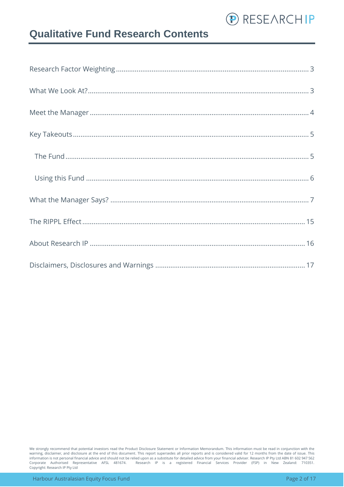

### **Qualitative Fund Research Contents**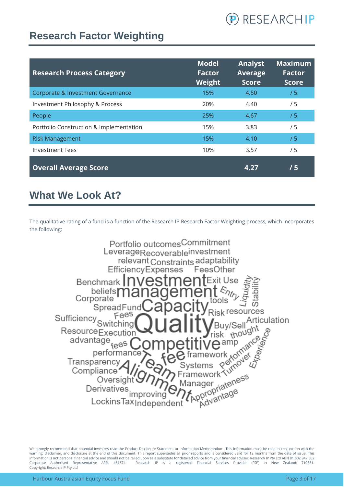

### <span id="page-2-0"></span>**Research Factor Weighting**

| <b>Research Process Category</b>        | <b>Model</b><br><b>Factor</b><br>Weight | <b>Analyst</b><br><b>Average</b><br><b>Score</b> | <b>Maximum</b><br><b>Factor</b><br><b>Score</b> |
|-----------------------------------------|-----------------------------------------|--------------------------------------------------|-------------------------------------------------|
| Corporate & Investment Governance       | 15%                                     | 4.50                                             | /5                                              |
| Investment Philosophy & Process         | 20%                                     | 4.40                                             | /5                                              |
| People                                  | 25%                                     | 4.67                                             | /5                                              |
| Portfolio Construction & Implementation | 15%                                     | 3.83                                             | /5                                              |
| <b>Risk Management</b>                  | 15%                                     | 4.10                                             | /5                                              |
| <b>Investment Fees</b>                  | 10%                                     | 3.57                                             | /5                                              |
| <b>Overall Average Score</b>            |                                         | 4.27                                             | /5                                              |

### <span id="page-2-1"></span>**What We Look At?**

The qualitative rating of a fund is a function of the Research IP Research Factor Weighting process, which incorporates the following:

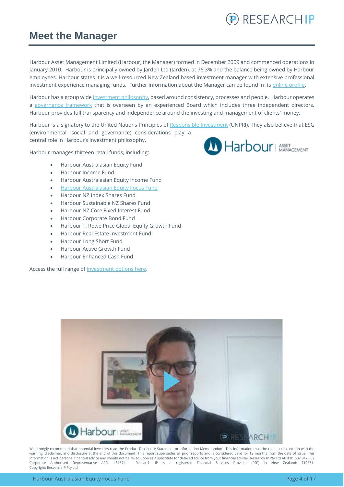

#### <span id="page-3-0"></span>**Meet the Manager**

Harbour Asset Management Limited (Harbour, the Manager) formed in December 2009 and commenced operations in January 2010. Harbour is principally owned by Jarden Ltd (Jarden), at 76.3% and the balance being owned by Harbour employees. Harbour states it is a well-resourced New Zealand based investment manager with extensive professional investment experience managing funds. Further information about the Manager can be found in its online profile.

Harbour has a group wide [investment philosophy,](https://www.harbourasset.co.nz/about-us/investment-philosophy/) based around consistency, processes and people. Harbour operates a [governance framework](https://www.harbourasset.co.nz/about-us/corporate-responsibility/) that is overseen by an experienced Board which includes three independent directors. Harbour provides full transparency and independence around the investing and management of clients' money.

Harbour is a signatory to the United Nations Principles of [Responsible Investment](https://www.harbourasset.co.nz/about-us/responsible-investing/) (UNPRI). They also believe that ESG (environmental, social and governance) considerations play a central role in Harbour's investment philosophy.

Harbour manages thirteen retail funds, including:

- Harbour Australasian Equity Fund
- Harbour Income Fund
- Harbour Australasian Equity Income Fund
- [Harbour Australasian Equity Focus Fund](https://www.harbourasset.co.nz/fund/aus-equity-focus-fund-retail/)
- Harbour NZ Index Shares Fund
- Harbour Sustainable NZ Shares Fund
- Harbour NZ Core Fixed Interest Fund
- Harbour Corporate Bond Fund
- Harbour T. Rowe Price Global Equity Growth Fund
- Harbour Real Estate Investment Fund
- Harbour Long Short Fund
- Harbour Active Growth Fund
- Harbour Enhanced Cash Fund

Access the full range of [investment options here.](https://platform.research-ip.com/?filter=power&fund_managers=71)



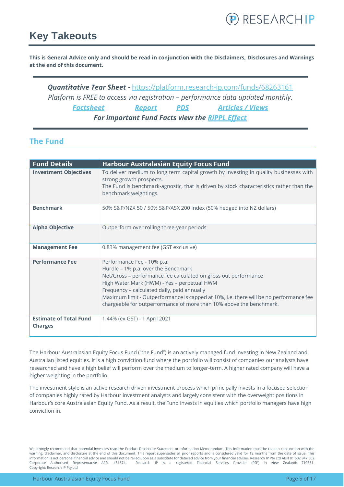### <span id="page-4-0"></span>**Key Takeouts**

**This is General Advice only and should be read in conjunction with the Disclaimers, Disclosures and Warnings at the end of this document.**

*Quantitative Tear Sheet -* <https://platform.research-ip.com/funds/68263161> *Platform is FREE to access via registration – performance data updated monthly. [Factsheet](https://www.harbourasset.co.nz/our-funds/aus-equity-focus-fund/) [Report](https://www.harbourasset.co.nz/our-funds/aus-equity-focus-fund/) [PDS](https://www.harbourasset.co.nz/our-funds/investor-documents/) [Articles / Views](https://www.harbourasset.co.nz/research-and-commentary/) For important Fund Facts view the [RIPPL Effect](https://research-ip.com/rippl-effect-reports/)*

#### <span id="page-4-1"></span>**The Fund**

| <b>Fund Details</b>                             | <b>Harbour Australasian Equity Focus Fund</b>                                                                                                                                                                                                                                                                                                                                                       |
|-------------------------------------------------|-----------------------------------------------------------------------------------------------------------------------------------------------------------------------------------------------------------------------------------------------------------------------------------------------------------------------------------------------------------------------------------------------------|
| <b>Investment Objectives</b>                    | To deliver medium to long term capital growth by investing in quality businesses with<br>strong growth prospects.<br>The Fund is benchmark-agnostic, that is driven by stock characteristics rather than the<br>benchmark weightings.                                                                                                                                                               |
| <b>Benchmark</b>                                | 50% S&P/NZX 50 / 50% S&P/ASX 200 Index (50% hedged into NZ dollars)                                                                                                                                                                                                                                                                                                                                 |
| <b>Alpha Objective</b>                          | Outperform over rolling three-year periods                                                                                                                                                                                                                                                                                                                                                          |
| <b>Management Fee</b>                           | 0.83% management fee (GST exclusive)                                                                                                                                                                                                                                                                                                                                                                |
| <b>Performance Fee</b>                          | Performance Fee - 10% p.a.<br>Hurdle - 1% p.a. over the Benchmark<br>Net/Gross - performance fee calculated on gross out performance<br>High Water Mark (HWM) - Yes - perpetual HWM<br>Frequency - calculated daily, paid annually<br>Maximum limit - Outperformance is capped at 10%, i.e. there will be no performance fee<br>chargeable for outperformance of more than 10% above the benchmark. |
| <b>Estimate of Total Fund</b><br><b>Charges</b> | 1.44% (ex GST) - 1 April 2021                                                                                                                                                                                                                                                                                                                                                                       |

The Harbour Australasian Equity Focus Fund ("the Fund") is an actively managed fund investing in New Zealand and Australian listed equities. It is a high conviction fund where the portfolio will consist of companies our analysts have researched and have a high belief will perform over the medium to longer-term. A higher rated company will have a higher weighting in the portfolio.

The investment style is an active research driven investment process which principally invests in a focused selection of companies highly rated by Harbour investment analysts and largely consistent with the overweight positions in Harbour's core Australasian Equity Fund. As a result, the Fund invests in equities which portfolio managers have high conviction in.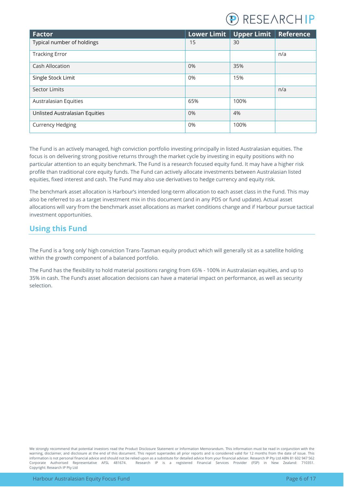

| <b>Factor</b>                  |     | Lower Limit   Upper Limit | Reference |
|--------------------------------|-----|---------------------------|-----------|
| Typical number of holdings     | 15  | 30                        |           |
| <b>Tracking Error</b>          |     |                           | n/a       |
| <b>Cash Allocation</b>         | 0%  | 35%                       |           |
| Single Stock Limit             | 0%  | 15%                       |           |
| <b>Sector Limits</b>           |     |                           | n/a       |
| Australasian Equities          | 65% | 100%                      |           |
| Unlisted Australasian Equities | 0%  | 4%                        |           |
| <b>Currency Hedging</b>        | 0%  | 100%                      |           |

The Fund is an actively managed, high conviction portfolio investing principally in listed Australasian equities. The focus is on delivering strong positive returns through the market cycle by investing in equity positions with no particular attention to an equity benchmark. The Fund is a research focused equity fund. It may have a higher risk profile than traditional core equity funds. The Fund can actively allocate investments between Australasian listed equities, fixed interest and cash. The Fund may also use derivatives to hedge currency and equity risk.

The benchmark asset allocation is Harbour's intended long-term allocation to each asset class in the Fund. This may also be referred to as a target investment mix in this document (and in any PDS or fund update). Actual asset allocations will vary from the benchmark asset allocations as market conditions change and if Harbour pursue tactical investment opportunities.

#### <span id="page-5-0"></span>**Using this Fund**

The Fund is a 'long only' high conviction Trans-Tasman equity product which will generally sit as a satellite holding within the growth component of a balanced portfolio.

The Fund has the flexibility to hold material positions ranging from 65% - 100% in Australasian equities, and up to 35% in cash. The Fund's asset allocation decisions can have a material impact on performance, as well as security selection.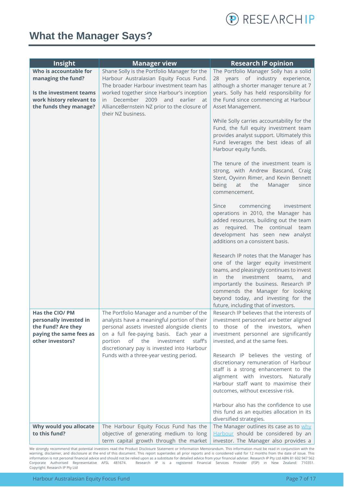

### <span id="page-6-0"></span>**What the Manager Says?**

| Insight                                                                                                        | <b>Manager view</b>                                                                                                                                                                                                                                                              | <b>Research IP opinion</b>                                                                                                                                                                                                                                                                                                       |
|----------------------------------------------------------------------------------------------------------------|----------------------------------------------------------------------------------------------------------------------------------------------------------------------------------------------------------------------------------------------------------------------------------|----------------------------------------------------------------------------------------------------------------------------------------------------------------------------------------------------------------------------------------------------------------------------------------------------------------------------------|
| Who is accountable for<br>managing the fund?                                                                   | Shane Solly is the Portfolio Manager for the<br>Harbour Australasian Equity Focus Fund.<br>The broader Harbour investment team has                                                                                                                                               | The Portfolio Manager Solly has a solid<br>28 years of industry experience,<br>although a shorter manager tenure at 7                                                                                                                                                                                                            |
| Is the investment teams<br>work history relevant to<br>the funds they manage?                                  | worked together since Harbour's inception<br>December 2009<br>and<br>earlier at<br>in.<br>AllianceBernstein NZ prior to the closure of<br>their NZ business.                                                                                                                     | years. Solly has held responsibility for<br>the Fund since commencing at Harbour<br>Asset Management.                                                                                                                                                                                                                            |
|                                                                                                                |                                                                                                                                                                                                                                                                                  | While Solly carries accountability for the<br>Fund, the full equity investment team<br>provides analyst support. Ultimately this<br>Fund leverages the best ideas of all<br>Harbour equity funds.                                                                                                                                |
|                                                                                                                |                                                                                                                                                                                                                                                                                  | The tenure of the investment team is<br>strong, with Andrew Bascand, Craig<br>Stent, Oyvinn Rimer, and Kevin Bennett<br>being<br>at<br>the<br>Manager<br>since<br>commencement.                                                                                                                                                  |
|                                                                                                                |                                                                                                                                                                                                                                                                                  | Since<br>commencing<br>investment<br>operations in 2010, the Manager has<br>added resources, building out the team<br>as required. The continual team<br>development has seen new analyst<br>additions on a consistent basis.                                                                                                    |
|                                                                                                                |                                                                                                                                                                                                                                                                                  | Research IP notes that the Manager has<br>one of the larger equity investment<br>teams, and pleasingly continues to invest<br>the<br>investment teams,<br>and<br>in.<br>importantly the business. Research IP<br>commends the Manager for looking<br>beyond today, and investing for the<br>future, including that of investors. |
| Has the CIO/ PM<br>personally invested in<br>the Fund? Are they<br>paying the same fees as<br>other investors? | The Portfolio Manager and a number of the<br>analysts have a meaningful portion of their<br>personal assets invested alongside clients<br>on a full fee-paying basis. Each year a<br>of<br>the<br>investment<br>staff's<br>portion<br>discretionary pay is invested into Harbour | Research IP believes that the interests of<br>investment personnel are better aligned<br>to those of the investors, when<br>investment personnel are significantly<br>invested, and at the same fees.                                                                                                                            |
|                                                                                                                | Funds with a three-year vesting period.                                                                                                                                                                                                                                          | Research IP believes the vesting of<br>discretionary remuneration of Harbour<br>staff is a strong enhancement to the<br>alignment with investors. Naturally<br>Harbour staff want to maximise their<br>outcomes, without excessive risk.                                                                                         |
|                                                                                                                |                                                                                                                                                                                                                                                                                  | Harbour also has the confidence to use<br>this fund as an equities allocation in its<br>diversified strategies.                                                                                                                                                                                                                  |
| Why would you allocate<br>to this fund?                                                                        | The Harbour Equity Focus Fund has the<br>objective of generating medium to long<br>term capital growth through the market                                                                                                                                                        | The Manager outlines its case as to why<br>Harbour should be considered by an<br>investor. The Manager also provides a                                                                                                                                                                                                           |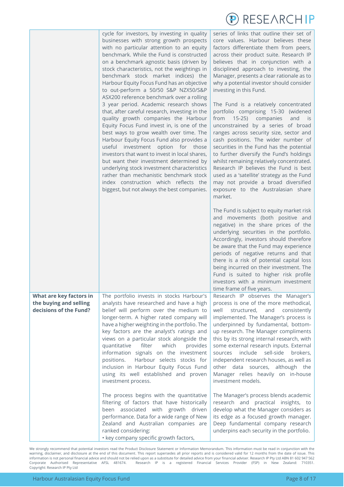

|                                                                             | cycle for investors, by investing in quality<br>businesses with strong growth prospects<br>with no particular attention to an equity<br>benchmark. While the Fund is constructed<br>on a benchmark agnostic basis (driven by<br>stock characteristics, not the weightings in<br>benchmark stock market indices) the<br>Harbour Equity Focus Fund has an objective<br>to out-perform a 50/50 S&P NZX50/S&P<br>ASX200 reference benchmark over a rolling<br>3 year period. Academic research shows<br>that, after careful research, investing in the<br>quality growth companies the Harbour<br>Equity Focus Fund invest in, is one of the<br>best ways to grow wealth over time. The<br>Harbour Equity Focus Fund also provides a<br>useful investment option for those<br>investors that want to invest in local shares,<br>but want their investment determined by<br>underlying stock investment characteristics<br>rather than mechanistic benchmark stock<br>index construction which reflects the<br>biggest, but not always the best companies. | series of links that outline their set of<br>core values. Harbour believes these<br>factors differentiate them from peers,<br>across their product suite. Research IP<br>believes that in conjunction with a<br>disciplined approach to investing, the<br>Manager, presents a clear rationale as to<br>why a potential investor should consider<br>investing in this Fund.<br>The Fund is a relatively concentrated<br>portfolio comprising 15-30 (widened<br>from 15-25) companies<br>and<br>is is<br>unconstrained by a series of broad<br>ranges across security size, sector and<br>cash positions. The wider number of<br>securities in the Fund has the potential<br>to further diversify the Fund's holdings<br>whilst remaining relatively concentrated.<br>Research IP believes the Fund is best<br>used as a 'satellite' strategy as the Fund<br>may not provide a broad diversified<br>exposure to the Australasian share<br>market.<br>The Fund is subject to equity market risk<br>and movements (both positive and<br>negative) in the share prices of the<br>underlying securities in the portfolio.<br>Accordingly, investors should therefore<br>be aware that the Fund may experience<br>periods of negative returns and that<br>there is a risk of potential capital loss<br>being incurred on their investment. The<br>Fund is suited to higher risk profile<br>investors with a minimum investment |
|-----------------------------------------------------------------------------|-------------------------------------------------------------------------------------------------------------------------------------------------------------------------------------------------------------------------------------------------------------------------------------------------------------------------------------------------------------------------------------------------------------------------------------------------------------------------------------------------------------------------------------------------------------------------------------------------------------------------------------------------------------------------------------------------------------------------------------------------------------------------------------------------------------------------------------------------------------------------------------------------------------------------------------------------------------------------------------------------------------------------------------------------------|-------------------------------------------------------------------------------------------------------------------------------------------------------------------------------------------------------------------------------------------------------------------------------------------------------------------------------------------------------------------------------------------------------------------------------------------------------------------------------------------------------------------------------------------------------------------------------------------------------------------------------------------------------------------------------------------------------------------------------------------------------------------------------------------------------------------------------------------------------------------------------------------------------------------------------------------------------------------------------------------------------------------------------------------------------------------------------------------------------------------------------------------------------------------------------------------------------------------------------------------------------------------------------------------------------------------------------------------------------------------------------------------------------------------------|
| What are key factors in<br>the buying and selling<br>decisions of the Fund? | The portfolio invests in stocks Harbour's<br>analysts have researched and have a high<br>belief will perform over the medium to<br>longer-term. A higher rated company will<br>have a higher weighting in the portfolio. The<br>key factors are the analyst's ratings and<br>views on a particular stock alongside the<br>quantitative<br>filter<br>which<br>provides<br>information signals on the investment<br>Harbour selects stocks for<br>positions.<br>inclusion in Harbour Equity Focus Fund<br>using its well established and proven<br>investment process.<br>The process begins with the quantitative<br>filtering of factors that have historically                                                                                                                                                                                                                                                                                                                                                                                       | time frame of five years.<br>Research IP observes the Manager's<br>process is one of the more methodical,<br>well<br>structured,<br>and<br>consistently<br>implemented. The Manager's process is<br>underpinned by fundamental, bottom-<br>up research. The Manager compliments<br>this by its strong internal research, with<br>some external research inputs. External<br>include<br>sell-side<br>sources<br>brokers,<br>independent research houses, as well as<br>other data sources, although the<br>Manager relies heavily on in-house<br>investment models.<br>The Manager's process blends academic<br>research and practical insights, to                                                                                                                                                                                                                                                                                                                                                                                                                                                                                                                                                                                                                                                                                                                                                                      |
|                                                                             | been associated with growth driven<br>performance. Data for a wide range of New<br>Zealand and Australian companies are<br>ranked considering:<br>• key company specific growth factors,                                                                                                                                                                                                                                                                                                                                                                                                                                                                                                                                                                                                                                                                                                                                                                                                                                                              | develop what the Manager considers as<br>its edge as a focused growth manager.<br>Deep fundamental company research<br>underpins each security in the portfolio.                                                                                                                                                                                                                                                                                                                                                                                                                                                                                                                                                                                                                                                                                                                                                                                                                                                                                                                                                                                                                                                                                                                                                                                                                                                        |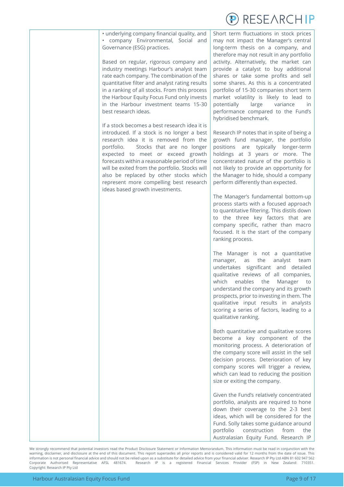

• underlying company financial quality, and • company Environmental, Social and Governance (ESG) practices.

Based on regular, rigorous company and industry meetings Harbour's analyst team rate each company. The combination of the quantitative filter and analyst rating results in a ranking of all stocks. From this process the Harbour Equity Focus Fund only invests in the Harbour investment teams 15-30 best research ideas.

If a stock becomes a best research idea it is introduced. If a stock is no longer a best research idea it is removed from the portfolio. Stocks that are no longer expected to meet or exceed growth forecasts within a reasonable period of time will be exited from the portfolio. Stocks will also be replaced by other stocks which represent more compelling best research ideas based growth investments.

Short term fluctuations in stock prices may not impact the Manager's central long-term thesis on a company, and therefore may not result in any portfolio activity. Alternatively, the market can provide a catalyst to buy additional shares or take some profits and sell some shares. As this is a concentrated portfolio of 15-30 companies short term market volatility is likely to lead to potentially large variance in performance compared to the Fund's hybridised benchmark.

Research IP notes that in spite of being a growth fund manager, the portfolio positions are typically longer-term holdings at 3 years or more. The concentrated nature of the portfolio is not likely to provide an opportunity for the Manager to hide, should a company perform differently than expected.

The Manager's fundamental bottom-up process starts with a focused approach to quantitative filtering. This distils down to the three key factors that are company specific, rather than macro focused. It is the start of the company ranking process.

The Manager is not a quantitative manager, as the analyst team undertakes significant and detailed qualitative reviews of all companies, which enables the Manager to understand the company and its growth prospects, prior to investing in them. The qualitative input results in analysts scoring a series of factors, leading to a qualitative ranking.

Both quantitative and qualitative scores become a key component of the monitoring process. A deterioration of the company score will assist in the sell decision process. Deterioration of key company scores will trigger a review, which can lead to reducing the position size or exiting the company.

Given the Fund's relatively concentrated portfolio, analysts are required to hone down their coverage to the 2-3 best ideas, which will be considered for the Fund. Solly takes some guidance around portfolio construction from the Australasian Equity Fund. Research IP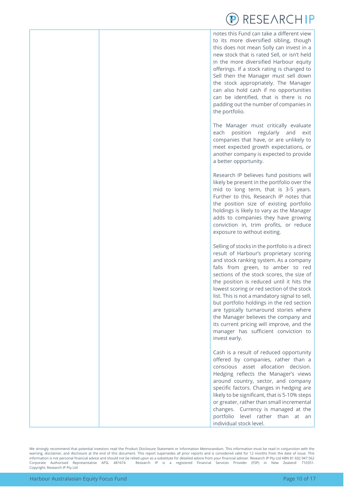# RESEARCHIP

notes this Fund can take a different view to its more diversified sibling, though this does not mean Solly can invest in a new stock that is rated Sell, or isn't held in the more diversified Harbour equity offerings. If a stock rating is changed to Sell then the Manager must sell down the stock appropriately. The Manager can also hold cash if no opportunities can be identified, that is there is no padding out the number of companies in the portfolio.

The Manager must critically evaluate each position regularly and exit companies that have, or are unlikely to meet expected growth expectations, or another company is expected to provide a better opportunity.

Research IP believes fund positions will likely be present in the portfolio over the mid to long term, that is 3-5 years. Further to this, Research IP notes that the position size of existing portfolio holdings is likely to vary as the Manager adds to companies they have growing conviction in, trim profits, or reduce exposure to without exiting.

Selling of stocks in the portfolio is a direct result of Harbour's proprietary scoring and stock ranking system. As a company falls from green, to amber to red sections of the stock scores, the size of the position is reduced until it hits the lowest scoring or red section of the stock list. This is not a mandatory signal to sell, but portfolio holdings in the red section are typically turnaround stories where the Manager believes the company and its current pricing will improve, and the manager has sufficient conviction to invest early.

Cash is a result of reduced opportunity offered by companies, rather than a conscious asset allocation decision. Hedging reflects the Manager's views around country, sector, and company specific factors. Changes in hedging are likely to be significant, that is 5-10% steps or greater, rather than small incremental changes. Currency is managed at the portfolio level rather than at an individual stock level.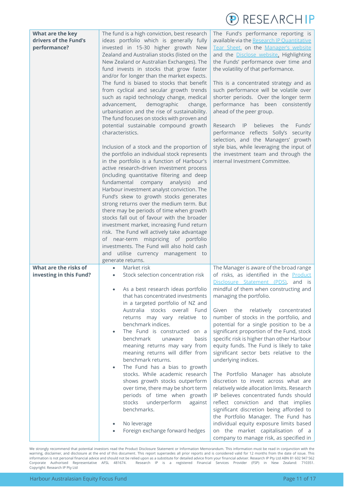

| What are the key<br>drivers of the Fund's<br>performance? | The fund is a high conviction, best research<br>ideas portfolio which is generally fully<br>invested in 15-30 higher growth New<br>Zealand and Australian stocks (listed on the<br>New Zealand or Australian Exchanges). The<br>fund invests in stocks that grow faster<br>and/or for longer than the market expects.<br>The fund is biased to stocks that benefit<br>from cyclical and secular growth trends<br>such as rapid technology change, medical<br>advancement,<br>demographic<br>change,<br>urbanisation and the rise of sustainability.<br>The fund focuses on stocks with proven and<br>potential sustainable compound growth<br>characteristics.<br>Inclusion of a stock and the proportion of<br>the portfolio an individual stock represents<br>in the portfolio is a function of Harbour's<br>active research-driven investment process<br>(including quantitative filtering and deep<br>fundamental company analysis)<br>and<br>Harbour investment analyst conviction. The<br>Fund's skew to growth stocks generates<br>strong returns over the medium term. But<br>there may be periods of time when growth<br>stocks fall out of favour with the broader<br>investment market, increasing Fund return<br>risk. The Fund will actively take advantage<br>of near-term mispricing of portfolio<br>investments. The Fund will also hold cash<br>and utilise currency management to | The Fund's performance reporting is<br>available via the Research IP Ouantitative<br>Tear Sheet, on the Manager's website<br>and the <b>Disclose</b> website. Highlighting<br>the Funds' performance over time and<br>the volatility of that performance.<br>This is a concentrated strategy and as<br>such performance will be volatile over<br>shorter periods. Over the longer term<br>performance has been consistently<br>ahead of the peer group.<br>Research IP<br>believes<br>the<br>Funds'<br>performance reflects Solly's security<br>selection, and the Managers' growth<br>style bias, while leveraging the input of<br>the investment team and through the<br>internal Investment Committee.                                                                                                                                                                                                                                                                 |
|-----------------------------------------------------------|-----------------------------------------------------------------------------------------------------------------------------------------------------------------------------------------------------------------------------------------------------------------------------------------------------------------------------------------------------------------------------------------------------------------------------------------------------------------------------------------------------------------------------------------------------------------------------------------------------------------------------------------------------------------------------------------------------------------------------------------------------------------------------------------------------------------------------------------------------------------------------------------------------------------------------------------------------------------------------------------------------------------------------------------------------------------------------------------------------------------------------------------------------------------------------------------------------------------------------------------------------------------------------------------------------------------------------------------------------------------------------------------------------|---------------------------------------------------------------------------------------------------------------------------------------------------------------------------------------------------------------------------------------------------------------------------------------------------------------------------------------------------------------------------------------------------------------------------------------------------------------------------------------------------------------------------------------------------------------------------------------------------------------------------------------------------------------------------------------------------------------------------------------------------------------------------------------------------------------------------------------------------------------------------------------------------------------------------------------------------------------------------|
| What are the risks of<br>investing in this Fund?          | generate returns.<br>Market risk<br>$\bullet$<br>Stock selection concentration risk<br>As a best research ideas portfolio<br>that has concentrated investments<br>in a targeted portfolio of NZ and<br>Australia stocks overall Fund<br>returns may vary relative to<br>benchmark indices.<br>The Fund is constructed on a<br>benchmark<br>unaware<br>basis<br>meaning returns may vary from<br>meaning returns will differ from<br>benchmark returns.<br>The Fund has a bias to growth<br>stocks. While academic research<br>shows growth stocks outperform<br>over time, there may be short term<br>periods of time when growth<br>stocks<br>underperform<br>against<br>benchmarks.<br>No leverage<br>Foreign exchange forward hedges                                                                                                                                                                                                                                                                                                                                                                                                                                                                                                                                                                                                                                                             | The Manager is aware of the broad range<br>of risks, as identified in the <b>Product</b><br>Disclosure Statement (PDS), and is<br>mindful of them when constructing and<br>managing the portfolio.<br>relatively<br>concentrated<br>Given<br>the<br>number of stocks in the portfolio, and<br>potential for a single position to be a<br>significant proportion of the Fund, stock<br>specific risk is higher than other Harbour<br>equity funds. The Fund is likely to take<br>significant sector bets relative to the<br>underlying indices.<br>The Portfolio Manager has absolute<br>discretion to invest across what are<br>relatively wide allocation limits. Research<br>IP believes concentrated funds should<br>reflect conviction and that implies<br>significant discretion being afforded to<br>the Portfolio Manager. The Fund has<br>individual equity exposure limits based<br>on the market capitalisation of a<br>company to manage risk, as specified in |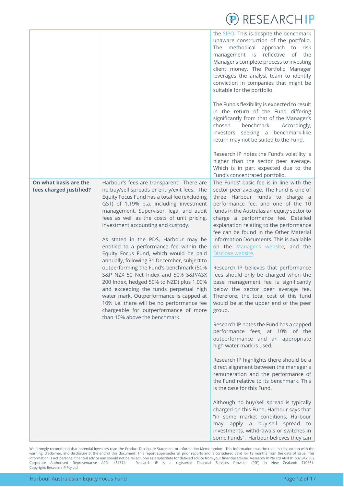|                                                  |                                                                                                                                                                                                                                                                                                                                                                                                                                                                                                                                                                                                                                                                                                                                                                                                                                            | L/ INLJL/ \IN\IIII                                                                                                                                                                                                                                                                                                                                                                                                                                                                                                                                                                                                                                                                                                                                                                    |
|--------------------------------------------------|--------------------------------------------------------------------------------------------------------------------------------------------------------------------------------------------------------------------------------------------------------------------------------------------------------------------------------------------------------------------------------------------------------------------------------------------------------------------------------------------------------------------------------------------------------------------------------------------------------------------------------------------------------------------------------------------------------------------------------------------------------------------------------------------------------------------------------------------|---------------------------------------------------------------------------------------------------------------------------------------------------------------------------------------------------------------------------------------------------------------------------------------------------------------------------------------------------------------------------------------------------------------------------------------------------------------------------------------------------------------------------------------------------------------------------------------------------------------------------------------------------------------------------------------------------------------------------------------------------------------------------------------|
|                                                  |                                                                                                                                                                                                                                                                                                                                                                                                                                                                                                                                                                                                                                                                                                                                                                                                                                            | the SIPO. This is despite the benchmark<br>unaware construction of the portfolio.<br>The methodical approach to<br>risk<br>management is reflective<br>of<br>the<br>Manager's complete process to investing<br>client money. The Portfolio Manager<br>leverages the analyst team to identify<br>conviction in companies that might be<br>suitable for the portfolio.                                                                                                                                                                                                                                                                                                                                                                                                                  |
|                                                  |                                                                                                                                                                                                                                                                                                                                                                                                                                                                                                                                                                                                                                                                                                                                                                                                                                            | The Fund's flexibility is expected to result<br>in the return of the Fund differing<br>significantly from that of the Manager's<br>benchmark.<br>chosen<br>Accordingly,<br>investors seeking a benchmark-like<br>return may not be suited to the Fund.                                                                                                                                                                                                                                                                                                                                                                                                                                                                                                                                |
|                                                  |                                                                                                                                                                                                                                                                                                                                                                                                                                                                                                                                                                                                                                                                                                                                                                                                                                            | Research IP notes the Fund's volatility is<br>higher than the sector peer average.<br>Which is in part expected due to the<br>Fund's concentrated portfolio.                                                                                                                                                                                                                                                                                                                                                                                                                                                                                                                                                                                                                          |
| On what basis are the<br>fees charged justified? | Harbour's fees are transparent. There are<br>no buy/sell spreads or entry/exit fees. The<br>Equity Focus Fund has a total fee (excluding<br>GST) of 1.19% p.a. including investment<br>management, Supervisor, legal and audit<br>fees as well as the costs of unit pricing,<br>investment accounting and custody.<br>As stated in the PDS, Harbour may be<br>entitled to a performance fee within the<br>Equity Focus Fund, which would be paid<br>annually, following 31 December, subject to<br>outperforming the Fund's benchmark (50%<br>S&P NZX 50 Net Index and 50% S&P/ASX<br>200 Index, hedged 50% to NZD) plus 1.00%<br>and exceeding the funds perpetual high<br>water mark. Outperformance is capped at<br>10% i.e. there will be no performance fee<br>chargeable for outperformance of more<br>than 10% above the benchmark. | The Funds' basic fee is in line with the<br>sector peer average. The Fund is one of<br>three Harbour funds to charge a<br>performance fee, and one of the 10<br>funds in the Australasian equity sector to<br>charge a performance fee. Detailed<br>explanation relating to the performance<br>fee can be found in the Other Material<br>Information Documents. This is available<br>on the Manager's website, and the<br>Disclose website.<br>Research IP believes that performance<br>fees should only be charged when the<br>base management fee is significantly<br>below the sector peer average fee.<br>Therefore, the total cost of this fund<br>would be at the upper end of the peer<br>group.<br>Research IP notes the Fund has a capped<br>performance fees, at 10% of the |
|                                                  |                                                                                                                                                                                                                                                                                                                                                                                                                                                                                                                                                                                                                                                                                                                                                                                                                                            | outperformance and an appropriate<br>high water mark is used.<br>Research IP highlights there should be a<br>direct alignment between the manager's<br>remuneration and the performance of<br>the Fund relative to its benchmark. This<br>is the case for this Fund.                                                                                                                                                                                                                                                                                                                                                                                                                                                                                                                  |
|                                                  |                                                                                                                                                                                                                                                                                                                                                                                                                                                                                                                                                                                                                                                                                                                                                                                                                                            | Although no buy/sell spread is typically<br>charged on this Fund, Harbour says that<br>"in some market conditions, Harbour<br>may apply a buy-sell spread to<br>investments, withdrawals or switches in<br>some Funds". Harbour believes they can                                                                                                                                                                                                                                                                                                                                                                                                                                                                                                                                     |

 $D$  RESEARCHIP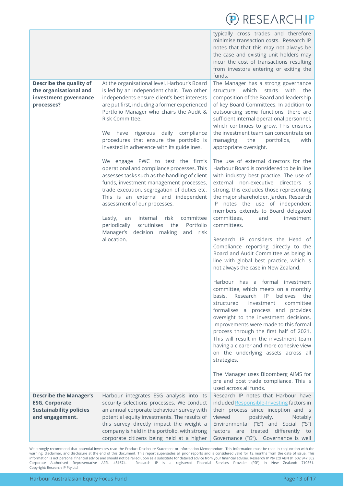

| <b>Describe the quality of</b><br>the organisational and<br>investment governance<br>processes?             | At the organisational level, Harbour's Board<br>is led by an independent chair. Two other<br>independents ensure client's best interests<br>are put first, including a former experienced<br>Portfolio Manager who chairs the Audit &<br>Risk Committee.<br>rigorous daily compliance<br>We<br>have<br>procedures that ensure the portfolio is<br>invested in adherence with its guidelines.<br>We engage PWC to test the firm's<br>operational and compliance processes. This<br>assesses tasks such as the handling of client<br>funds, investment management processes, | typically cross trades and therefore<br>minimise transaction costs. Research IP<br>notes that that this may not always be<br>the case and existing unit holders may<br>incur the cost of transactions resulting<br>from investors entering or exiting the<br>funds.<br>The Manager has a strong governance<br>which<br>structure<br>with<br>the<br>starts<br>composition of the Board and leadership<br>of key Board Committees. In addition to<br>outsourcing some functions, there are<br>sufficient internal operational personnel,<br>which continues to grow. This ensures<br>the investment team can concentrate on<br>the<br>managing<br>portfolios,<br>with<br>appropriate oversight.<br>The use of external directors for the<br>Harbour Board is considered to be in line<br>with industry best practice. The use of<br>external non-executive directors is |
|-------------------------------------------------------------------------------------------------------------|----------------------------------------------------------------------------------------------------------------------------------------------------------------------------------------------------------------------------------------------------------------------------------------------------------------------------------------------------------------------------------------------------------------------------------------------------------------------------------------------------------------------------------------------------------------------------|-----------------------------------------------------------------------------------------------------------------------------------------------------------------------------------------------------------------------------------------------------------------------------------------------------------------------------------------------------------------------------------------------------------------------------------------------------------------------------------------------------------------------------------------------------------------------------------------------------------------------------------------------------------------------------------------------------------------------------------------------------------------------------------------------------------------------------------------------------------------------|
|                                                                                                             | trade execution, segregation of duties etc.<br>This is an external and independent<br>assessment of our processes.<br>committee<br>Lastly,<br>internal<br>risk<br>an<br>periodically<br>Portfolio<br>scrutinises<br>the<br>Manager's<br>decision making<br>and<br>risk<br>allocation.                                                                                                                                                                                                                                                                                      | strong, this excludes those representing<br>the major shareholder, Jarden. Research<br>IP notes the use of independent<br>members extends to Board delegated<br>committees.<br>investment<br>and<br>committees.<br>Research IP considers the Head of<br>Compliance reporting directly to the<br>Board and Audit Committee as being in                                                                                                                                                                                                                                                                                                                                                                                                                                                                                                                                 |
|                                                                                                             |                                                                                                                                                                                                                                                                                                                                                                                                                                                                                                                                                                            | line with global best practice, which is<br>not always the case in New Zealand.<br>Harbour has a formal investment<br>committee, which meets on a monthly<br>IP<br>believes<br>basis.<br>Research<br>the<br>committee<br>structured<br>investment<br>formalises a process and provides<br>oversight to the investment decisions.<br>Improvements were made to this formal<br>process through the first half of 2021.<br>This will result in the investment team<br>having a clearer and more cohesive view<br>on the underlying assets across all<br>strategies.<br>The Manager uses Bloomberg AIMS for                                                                                                                                                                                                                                                               |
|                                                                                                             |                                                                                                                                                                                                                                                                                                                                                                                                                                                                                                                                                                            | pre and post trade compliance. This is<br>used across all funds.                                                                                                                                                                                                                                                                                                                                                                                                                                                                                                                                                                                                                                                                                                                                                                                                      |
| <b>Describe the Manager's</b><br><b>ESG, Corporate</b><br><b>Sustainability policies</b><br>and engagement. | Harbour integrates ESG analysis into its<br>security selections processes. We conduct<br>an annual corporate behaviour survey with<br>potential equity investments. The results of<br>this survey directly impact the weight a<br>company is held in the portfolio, with strong<br>corporate citizens being held at a higher                                                                                                                                                                                                                                               | Research IP notes that Harbour have<br>included Responsible-Investing factors in<br>their process since inception and is<br>viewed<br>positively.<br>Notably<br>Environmental ("E") and Social ("S")<br>differently to<br>factors are treated<br>Governance ("G"). Governance is well                                                                                                                                                                                                                                                                                                                                                                                                                                                                                                                                                                                 |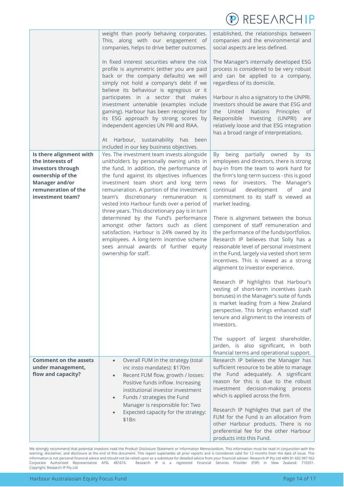|                                                                                                                                                          |                                                                                                                                                                                                                                                                                                                                                                                                                                                                                                                                                                                                                                                        | RESEARCHIP                                                                                                                                                                                                                                                                                                                                                                                                                                                                                                                                                                                                                                                                                                                                                                                                                                                                                                                                                                                                                                                            |
|----------------------------------------------------------------------------------------------------------------------------------------------------------|--------------------------------------------------------------------------------------------------------------------------------------------------------------------------------------------------------------------------------------------------------------------------------------------------------------------------------------------------------------------------------------------------------------------------------------------------------------------------------------------------------------------------------------------------------------------------------------------------------------------------------------------------------|-----------------------------------------------------------------------------------------------------------------------------------------------------------------------------------------------------------------------------------------------------------------------------------------------------------------------------------------------------------------------------------------------------------------------------------------------------------------------------------------------------------------------------------------------------------------------------------------------------------------------------------------------------------------------------------------------------------------------------------------------------------------------------------------------------------------------------------------------------------------------------------------------------------------------------------------------------------------------------------------------------------------------------------------------------------------------|
|                                                                                                                                                          | weight than poorly behaving corporates.<br>This, along with our engagement of<br>companies, helps to drive better outcomes.                                                                                                                                                                                                                                                                                                                                                                                                                                                                                                                            | established, the relationships between<br>companies and the environmental and<br>social aspects are less defined.                                                                                                                                                                                                                                                                                                                                                                                                                                                                                                                                                                                                                                                                                                                                                                                                                                                                                                                                                     |
|                                                                                                                                                          | In fixed interest securities where the risk<br>profile is asymmetric (either you are paid<br>back or the company defaults) we will<br>simply not hold a company's debt if we<br>believe its behaviour is egregious or it<br>participates in a sector that makes<br>investment untenable (examples include<br>gaming). Harbour has been recognised for<br>its ESG approach by strong scores by<br>independent agencies UN PRI and RIAA.<br>At Harbour, sustainability has been<br>included in our key business objectives.                                                                                                                              | The Manager's internally developed ESG<br>process is considered to be very robust<br>and can be applied to a company,<br>regardless of its domicile.<br>Harbour is also a signatory to the UNPRI.<br>Investors should be aware that ESG and<br>the United Nations Principles<br>of<br>Responsible Investing (UNPRI)<br>are<br>relatively loose and that ESG integration<br>has a broad range of interpretations.                                                                                                                                                                                                                                                                                                                                                                                                                                                                                                                                                                                                                                                      |
| Is there alignment with<br>the interests of<br>investors through<br>ownership of the<br><b>Manager and/or</b><br>remuneration of the<br>investment team? | Yes. The investment team invests alongside<br>unitholders by personally owning units in<br>the fund. In addition, the performance of<br>the fund against its objectives influences<br>investment team short and long term<br>remuneration. A portion of the investment<br>team's discretionary remuneration is<br>vested into Harbour funds over a period of<br>three years. This discretionary pay is in turn<br>determined by the Fund's performance<br>amongst other factors such as client<br>satisfaction. Harbour is 24% owned by its<br>employees. A long-term incentive scheme<br>sees annual awards of further equity<br>ownership for staff. | being partially owned<br>by its<br>By<br>employees and directors, there is strong<br>buy-in from the team to work hard for<br>the firm's long-term success - this is good<br>news for investors. The Manager's<br>development<br>continual<br>of<br>and<br>commitment to its staff is viewed as<br>market leading.<br>There is alignment between the bonus<br>component of staff remuneration and<br>the performance of the funds/portfolios.<br>Research IP believes that Solly has a<br>reasonable level of personal investment<br>in the Fund, largely via vested short term<br>incentives. This is viewed as a strong<br>alignment to investor experience.<br>Research IP highlights that Harbour's<br>vesting of short-term incentives (cash<br>bonuses) in the Manager's suite of funds<br>is market leading from a New Zealand<br>perspective. This brings enhanced staff<br>tenure and alignment to the interests of<br>investors.<br>The support of largest shareholder,<br>Jarden, is also significant, in both<br>financial terms and operational support. |
| <b>Comment on the assets</b><br>under management,<br>flow and capacity?                                                                                  | Overall FUM in the strategy (total<br>$\bullet$<br>inc insto mandates): \$170m<br>Recent FUM flow, growth / losses:<br>Positive funds inflow. Increasing<br>institutional investor investment<br>Funds / strategies the Fund<br>Manager is responsible for: Two<br>Expected capacity for the strategy:<br>\$1Bn                                                                                                                                                                                                                                                                                                                                        | Research IP believes the Manager has<br>sufficient resource to be able to manage<br>the Fund adequately. A significant<br>reason for this is due to the robust<br>investment decision-making process<br>which is applied across the firm.<br>Research IP highlights that part of the<br>FUM for the Fund is an allocation from<br>other Harbour products. There is no<br>preferential fee for the other Harbour<br>products into this Fund.                                                                                                                                                                                                                                                                                                                                                                                                                                                                                                                                                                                                                           |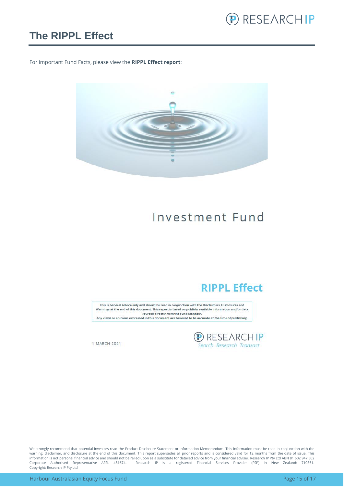

#### <span id="page-14-0"></span>**The RIPPL Effect**

For important Fund Facts, please view the **RIPPL Effect report**:



## Investment Fund

#### **RIPPL Effect**

This is General Advice only and should be read in conjunction with the Disclaimers, Disclosures and Warnings at the end of this document. This report is based on publicly available information and/or data sourced directly from the Fund Manager. Any views or opinions expressed in this document are believed to be accurate at the time of publishing.

**D** RESEARCHIP<br>Search Research Transact

1 MARCH 2021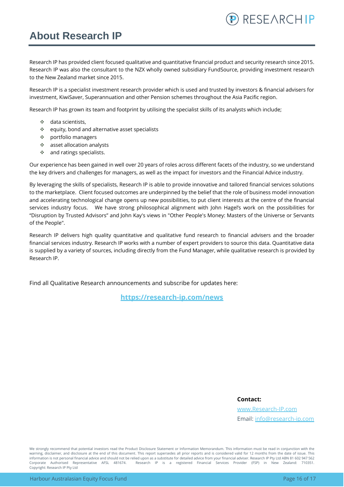### <span id="page-15-0"></span>**About Research IP**

Research IP has provided client focused qualitative and quantitative financial product and security research since 2015. Research IP was also the consultant to the NZX wholly owned subsidiary FundSource, providing investment research to the New Zealand market since 2015.

Research IP is a specialist investment research provider which is used and trusted by investors & financial advisers for investment, KiwiSaver, Superannuation and other Pension schemes throughout the Asia Pacific region.

Research IP has grown its team and footprint by utilising the specialist skills of its analysts which include;

- ❖ data scientists,
- ❖ equity, bond and alternative asset specialists
- ❖ portfolio managers
- ❖ asset allocation analysts
- ❖ and ratings specialists.

Our experience has been gained in well over 20 years of roles across different facets of the industry, so we understand the key drivers and challenges for managers, as well as the impact for investors and the Financial Advice industry.

By leveraging the skills of specialists, Research IP is able to provide innovative and tailored financial services solutions to the marketplace. Client focused outcomes are underpinned by the belief that the role of business model innovation and accelerating technological change opens up new possibilities, to put client interests at the centre of the financial services industry focus. We have strong philosophical alignment with John Hagel's work on the possibilities for "Disruption by Trusted Advisors" and John Kay's views in "Other People's Money: Masters of the Universe or Servants of the People".

Research IP delivers high quality quantitative and qualitative fund research to financial advisers and the broader financial services industry. Research IP works with a number of expert providers to source this data. Quantitative data is supplied by a variety of sources, including directly from the Fund Manager, while qualitative research is provided by Research IP.

Find all Qualitative Research announcements and subscribe for updates here:

**[https://research-ip.com/news](https://research-ip.com/category/qualitative-research/)**

**Contact:**

[www.Research-IP.com](http://www.research-ip.com/) Email: [info@research-ip.com](mailto:info@research-ip.com)

RESEARCHIP